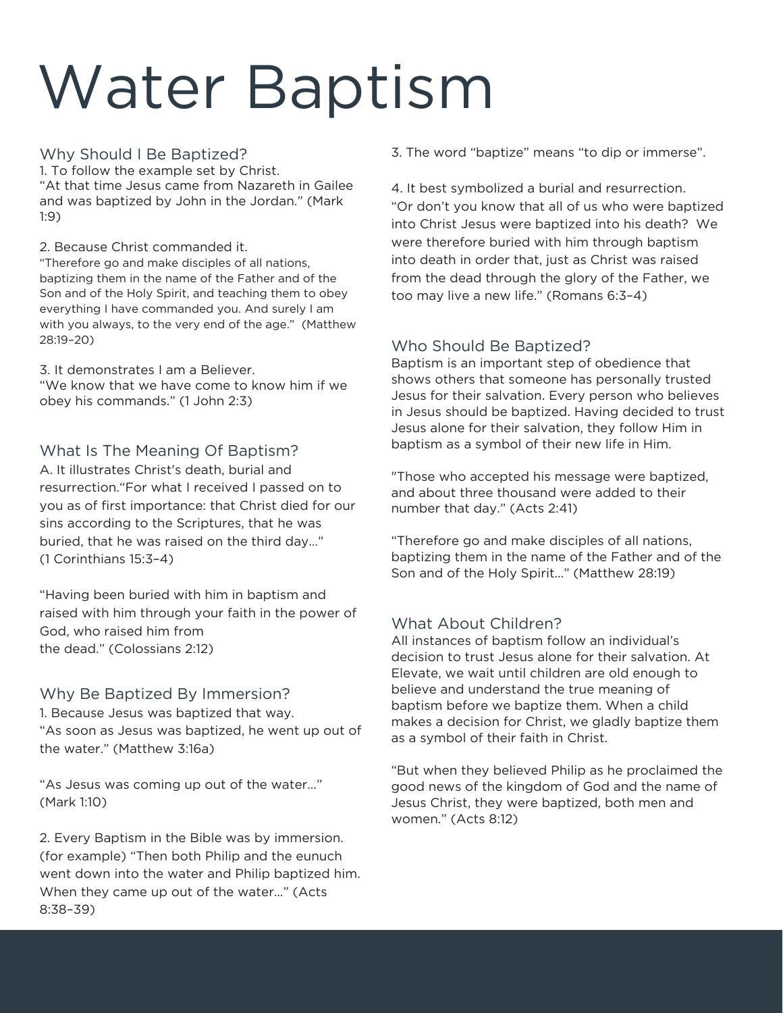# Water Baptism

#### Why Should I Be Baptized?

1. To follow the example set by Christ. "At that time Jesus came from Nazareth in Gailee and was baptized by John in the Jordan." (Mark 1:9)

2. Because Christ commanded it.

"Therefore go and make disciples of all nations, baptizing them in the name of the Father and of the Son and of the Holy Spirit, and teaching them to obey everything I have commanded you. And surely I am with you always, to the very end of the age." (Matthew 28:19–20)

#### 3. It demonstrates I am a Believer.

"We know that we have come to know him if we obey his commands." (1 John 2:3)

## What Is The Meaning Of Baptism?

A. It illustrates Christ's death, burial and resurrection."For what I received I passed on to you as of first importance: that Christ died for our sins according to the Scriptures, that he was buried, that he was raised on the third day…" (1 Corinthians 15:3–4)

"Having been buried with him in baptism and raised with him through your faith in the power of God, who raised him from the dead." (Colossians 2:12)

### Why Be Baptized By Immersion?

1. Because Jesus was baptized that way. "As soon as Jesus was baptized, he went up out of the water." (Matthew 3:16a)

"As Jesus was coming up out of the water…" (Mark 1:10)

2. Every Baptism in the Bible was by immersion. (for example) "Then both Philip and the eunuch went down into the water and Philip baptized him. When they came up out of the water…" (Acts 8:38–39)

3. The word "baptize" means "to dip or immerse".

4. It best symbolized a burial and resurrection. "Or don't you know that all of us who were baptized into Christ Jesus were baptized into his death? We were therefore buried with him through baptism into death in order that, just as Christ was raised from the dead through the glory of the Father, we too may live a new life." (Romans 6:3–4)

# Who Should Be Baptized?

Baptism is an important step of obedience that shows others that someone has personally trusted Jesus for their salvation. Every person who believes in Jesus should be baptized. Having decided to trust Jesus alone for their salvation, they follow Him in baptism as a symbol of their new life in Him.

"Those who accepted his message were baptized, and about three thousand were added to their number that day." (Acts 2:41)

"Therefore go and make disciples of all nations, baptizing them in the name of the Father and of the Son and of the Holy Spirit…" (Matthew 28:19)

# What About Children?

All instances of baptism follow an individual's decision to trust Jesus alone for their salvation. At Elevate, we wait until children are old enough to believe and understand the true meaning of baptism before we baptize them. When a child makes a decision for Christ, we gladly baptize them as a symbol of their faith in Christ.

"But when they believed Philip as he proclaimed the good news of the kingdom of God and the name of Jesus Christ, they were baptized, both men and women." (Acts 8:12)